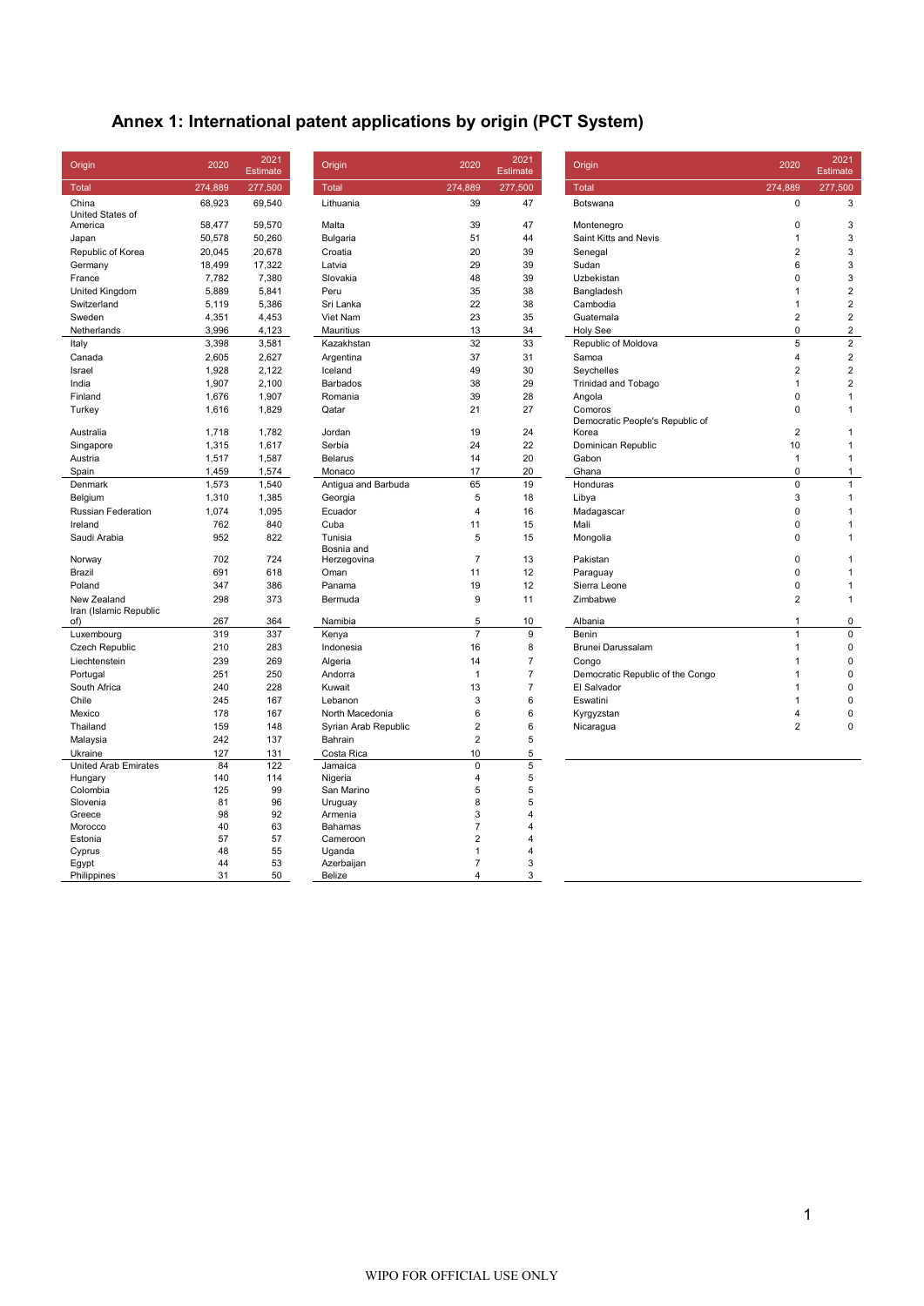# **Annex 1: International patent applications by origin (PCT System)**

| Origin                        | 2020    | 2021<br><b>Estimate</b> | Origin               | 2020           | 2021<br><b>Estimate</b> | Origin                           | 2020           | 2021<br>Estimate |
|-------------------------------|---------|-------------------------|----------------------|----------------|-------------------------|----------------------------------|----------------|------------------|
| <b>Total</b>                  | 274,889 | 277,500                 | Total                | 274,889        | 277,500                 | Total                            | 274,889        | 277,500          |
| China<br>United States of     | 68,923  | 69,540                  | Lithuania            | 39             | 47                      | Botswana                         | 0              | 3                |
| America                       | 58,477  | 59,570                  | Malta                | 39             | 47                      | Montenegro                       | 0              | 3                |
| Japan                         | 50,578  | 50,260                  | Bulgaria             | 51             | 44                      | Saint Kitts and Nevis            | $\mathbf{1}$   | 3                |
| Republic of Korea             | 20,045  | 20,678                  | Croatia              | 20             | 39                      | Senegal                          | $\overline{2}$ | 3                |
| Germany                       | 18,499  | 17,322                  | Latvia               | 29             | 39                      | Sudan                            | 6              | 3                |
| France                        | 7,782   | 7,380                   | Slovakia             | 48             | 39                      | Uzbekistan                       | 0              | 3                |
| United Kingdom                | 5,889   | 5,841                   | Peru                 | 35             | 38                      | Bangladesh                       | $\mathbf{1}$   | $\overline{2}$   |
| Switzerland                   | 5,119   | 5,386                   | Sri Lanka            | 22             | 38                      | Cambodia                         | $\mathbf{1}$   | $\overline{2}$   |
| Sweden                        | 4,351   | 4,453                   | Viet Nam             | 23             | 35                      | Guatemala                        | $\overline{c}$ | $\overline{c}$   |
| Netherlands                   | 3,996   | 4,123                   | Mauritius            | 13             | 34                      | Holy See                         | 0              | $\overline{2}$   |
| Italy                         | 3,398   | 3,581                   | Kazakhstan           | 32             | 33                      | Republic of Moldova              | 5              | $\overline{2}$   |
| Canada                        | 2,605   | 2,627                   | Argentina            | 37             | 31                      | Samoa                            | 4              | $\overline{2}$   |
| Israel                        | 1,928   | 2,122                   | Iceland              | 49             | 30                      | Seychelles                       | $\overline{2}$ | $\overline{2}$   |
| India                         | 1,907   | 2,100                   | <b>Barbados</b>      | 38             | 29                      | <b>Trinidad and Tobago</b>       | $\mathbf{1}$   | $\overline{2}$   |
| Finland                       | 1,676   | 1,907                   | Romania              | 39             | 28                      | Angola                           | 0              | $\mathbf{1}$     |
| Turkey                        | 1,616   | 1,829                   | Qatar                | 21             | 27                      | Comoros                          | 0              | $\mathbf{1}$     |
|                               |         |                         |                      |                |                         | Democratic People's Republic of  |                |                  |
| Australia                     | 1,718   | 1,782                   | Jordan               | 19             | 24                      | Korea                            | $\overline{2}$ | $\mathbf{1}$     |
| Singapore                     | 1,315   | 1,617                   | Serbia               | 24             | 22                      | Dominican Republic               | 10             | $\mathbf{1}$     |
| Austria                       | 1,517   | 1,587                   | <b>Belarus</b>       | 14             | 20                      | Gabon                            | $\mathbf{1}$   | $\mathbf{1}$     |
| Spain                         | 1,459   | 1,574                   | Monaco               | 17             | 20                      | Ghana                            | 0              | $\mathbf{1}$     |
| Denmark                       | 1,573   | 1,540                   | Antigua and Barbuda  | 65             | 19                      | Honduras                         | 0              | $\mathbf{1}$     |
| Belgium                       | 1,310   | 1,385                   | Georgia              | 5              | 18                      | Libya                            | 3              | $\mathbf{1}$     |
| Russian Federation            | 1,074   | 1,095                   | Ecuador              | $\overline{4}$ | 16                      | Madagascar                       | $\mathbf 0$    | $\mathbf{1}$     |
| Ireland                       | 762     | 840                     | Cuba                 | 11             | 15                      | Mali                             | $\mathbf 0$    | $\mathbf{1}$     |
| Saudi Arabia                  | 952     | 822                     | Tunisia              | 5              | 15                      | Mongolia                         | 0              | $\mathbf{1}$     |
|                               |         |                         | Bosnia and           |                |                         |                                  |                |                  |
| Norway                        | 702     | 724                     | Herzegovina          | $\overline{7}$ | 13                      | Pakistan                         | 0              | $\mathbf{1}$     |
| Brazil                        | 691     | 618                     | Oman                 | 11             | 12                      | Paraguay                         | 0              | $\mathbf{1}$     |
| Poland                        | 347     | 386                     | Panama               | 19             | 12                      | Sierra Leone                     | $\mathbf 0$    | $\mathbf{1}$     |
| New Zealand                   | 298     | 373                     | Bermuda              | 9              | 11                      | Zimbabwe                         | $\overline{2}$ | $\mathbf{1}$     |
| Iran (Islamic Republic<br>of) | 267     | 364                     | Namibia              | 5              | 10                      | Albania                          | 1              | 0                |
| Luxembourg                    | 319     | 337                     | Kenya                | $\overline{7}$ | 9                       | Benin                            | $\mathbf{1}$   | 0                |
| Czech Republic                | 210     | 283                     | Indonesia            | 16             | 8                       | Brunei Darussalam                | 1              | 0                |
| Liechtenstein                 | 239     | 269                     | Algeria              | 14             | $\overline{7}$          | Congo                            | $\overline{1}$ | 0                |
| Portugal                      | 251     | 250                     | Andorra              | $\mathbf{1}$   | $\overline{7}$          | Democratic Republic of the Congo | 1              | 0                |
| South Africa                  | 240     | 228                     | Kuwait               | 13             | $\overline{7}$          | El Salvador                      | 1              | 0                |
| Chile                         | 245     | 167                     | Lebanon              | 3              | 6                       | Eswatini                         | $\overline{1}$ | 0                |
| Mexico                        | 178     | 167                     | North Macedonia      | 6              | 6                       | Kyrgyzstan                       | 4              | 0                |
| Thailand                      | 159     | 148                     | Syrian Arab Republic | $\overline{2}$ | 6                       | Nicaragua                        | $\overline{2}$ | 0                |
| Malaysia                      | 242     | 137                     | Bahrain              | $\overline{2}$ | 5                       |                                  |                |                  |
| Ukraine                       | 127     | 131                     | Costa Rica           | 10             | 5                       |                                  |                |                  |
| <b>United Arab Emirates</b>   | 84      | 122                     | Jamaica              | $\mathbf 0$    | $\overline{5}$          |                                  |                |                  |
| Hungary                       | 140     | 114                     | Nigeria              | $\sqrt{4}$     | 5                       |                                  |                |                  |
| Colombia                      | 125     | 99                      | San Marino           | 5              | 5                       |                                  |                |                  |
| Slovenia                      | 81      | 96                      | Uruguay              | 8              | 5                       |                                  |                |                  |
| Greece                        | 98      | 92                      | Armenia              | 3              | 4                       |                                  |                |                  |
| Morocco                       | 40      | 63                      | Bahamas              | $\overline{7}$ | 4                       |                                  |                |                  |
| Estonia                       | 57      | 57                      | Cameroon             | $\overline{2}$ | 4                       |                                  |                |                  |
| Cyprus                        | 48      | 55                      | Uganda               | $\mathbf{1}$   | 4                       |                                  |                |                  |
| Egypt                         | 44      | 53                      | Azerbaijan           | $\overline{7}$ | 3                       |                                  |                |                  |
| Philippines                   | 31      | 50                      | Belize               | 4              | 3                       |                                  |                |                  |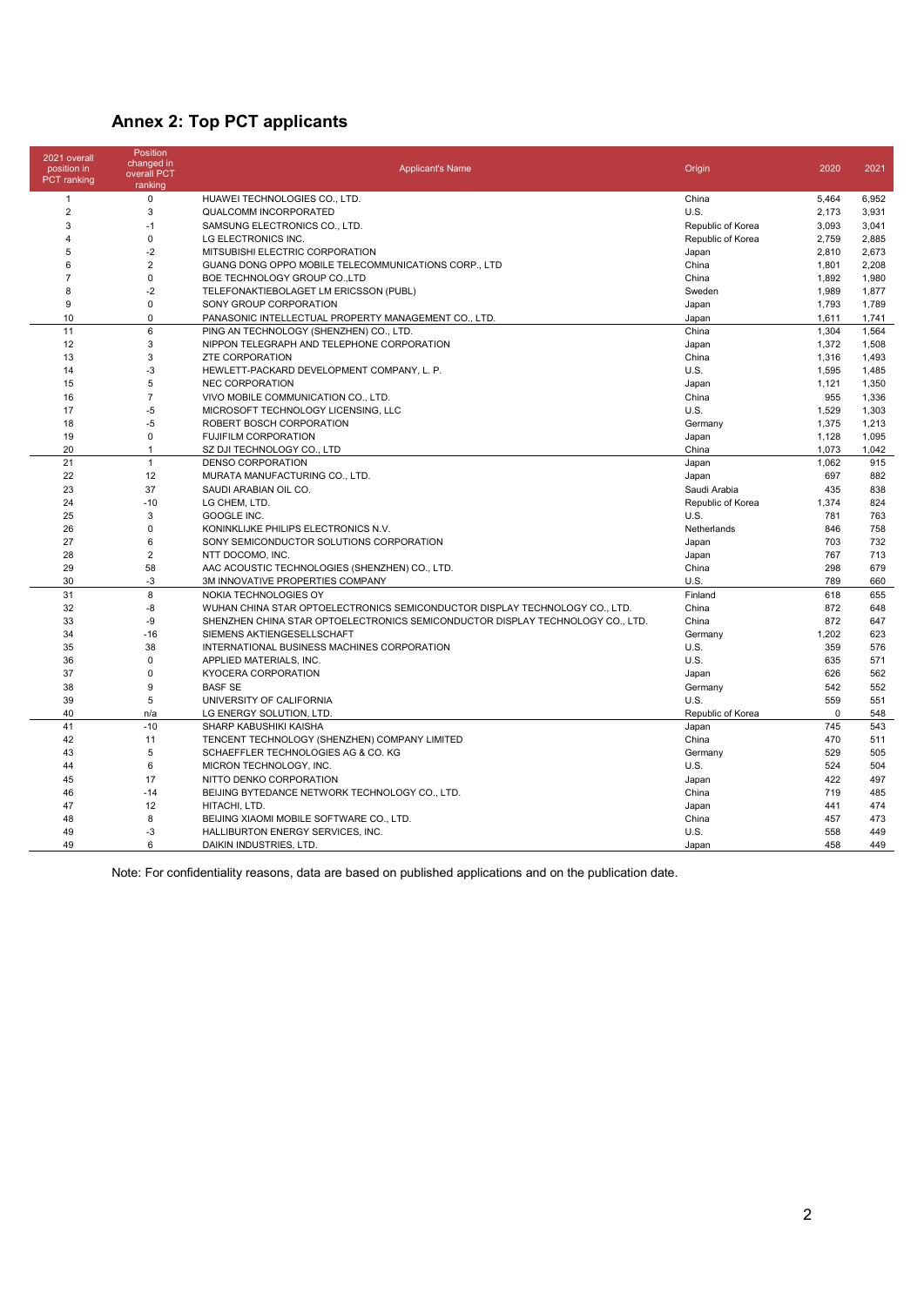## **Annex 2: Top PCT applicants**

| 2021 overall<br>position in<br><b>PCT</b> ranking | <b>Position</b><br>changed in<br>overall PCT<br>ranking | <b>Applicant's Name</b>                                                        | Origin            | 2020     | 2021  |
|---------------------------------------------------|---------------------------------------------------------|--------------------------------------------------------------------------------|-------------------|----------|-------|
| -1                                                | $\mathbf 0$                                             | HUAWEI TECHNOLOGIES CO., LTD.                                                  | China             | 5,464    | 6,952 |
| $\overline{2}$                                    | 3                                                       | <b>QUALCOMM INCORPORATED</b>                                                   | U.S.              | 2,173    | 3,931 |
| 3                                                 | $-1$                                                    | SAMSUNG ELECTRONICS CO., LTD.                                                  | Republic of Korea | 3,093    | 3,041 |
| $\overline{4}$                                    | $\mathbf 0$                                             | LG ELECTRONICS INC.                                                            | Republic of Korea | 2,759    | 2,885 |
| 5                                                 | $-2$                                                    | MITSUBISHI ELECTRIC CORPORATION                                                | Japan             | 2,810    | 2,673 |
| 6                                                 | $\overline{2}$                                          | GUANG DONG OPPO MOBILE TELECOMMUNICATIONS CORP., LTD                           | China             | 1,801    | 2,208 |
| $\overline{7}$                                    | $\mathbf 0$                                             | BOE TECHNOLOGY GROUP CO., LTD                                                  | China             | 1,892    | 1,980 |
| 8                                                 | $-2$                                                    | TELEFONAKTIEBOLAGET LM ERICSSON (PUBL)                                         | Sweden            | 1,989    | 1,877 |
| 9                                                 | $\mathbf 0$                                             | SONY GROUP CORPORATION                                                         | Japan             | 1,793    | 1,789 |
| 10                                                | $\Omega$                                                | PANASONIC INTELLECTUAL PROPERTY MANAGEMENT CO., LTD.                           | Japan             | 1,611    | 1,741 |
| 11                                                | $\,6\,$                                                 | PING AN TECHNOLOGY (SHENZHEN) CO., LTD.                                        | China             | 1,304    | 1,564 |
| 12                                                | 3                                                       | NIPPON TELEGRAPH AND TELEPHONE CORPORATION                                     | Japan             | 1,372    | 1,508 |
| 13                                                | 3                                                       | <b>ZTE CORPORATION</b>                                                         | China             | 1,316    | 1,493 |
| 14                                                | $-3$                                                    | HEWLETT-PACKARD DEVELOPMENT COMPANY, L. P.                                     | <b>U.S.</b>       | 1,595    | 1,485 |
| 15                                                | 5                                                       | <b>NEC CORPORATION</b>                                                         | Japan             | 1,121    | 1,350 |
| 16                                                | $\overline{7}$                                          | VIVO MOBILE COMMUNICATION CO., LTD.                                            | China             | 955      | 1,336 |
| 17                                                | $-5$                                                    | MICROSOFT TECHNOLOGY LICENSING, LLC                                            | U.S.              | 1,529    | 1,303 |
| 18                                                | $-5$                                                    | ROBERT BOSCH CORPORATION                                                       | Germany           | 1,375    | 1,213 |
| 19                                                | $\mathbf 0$                                             | <b>FUJIFILM CORPORATION</b>                                                    | Japan             | 1,128    | 1,095 |
| 20                                                | $\mathbf{1}$                                            | SZ DJI TECHNOLOGY CO., LTD                                                     | China             | 1.073    | 1,042 |
| 21                                                | $\mathbf{1}$                                            | <b>DENSO CORPORATION</b>                                                       | Japan             | 1,062    | 915   |
| 22                                                | 12                                                      | MURATA MANUFACTURING CO., LTD.                                                 | Japan             | 697      | 882   |
| 23                                                | 37                                                      | SAUDI ARABIAN OIL CO.                                                          | Saudi Arabia      | 435      | 838   |
| 24                                                | $-10$                                                   | LG CHEM, LTD.                                                                  | Republic of Korea | 1,374    | 824   |
| 25                                                | 3                                                       | GOOGLE INC.                                                                    | U.S.              | 781      | 763   |
| 26                                                | $\mathbf 0$                                             | KONINKLIJKE PHILIPS ELECTRONICS N.V.                                           | Netherlands       | 846      | 758   |
| 27                                                | 6                                                       | SONY SEMICONDUCTOR SOLUTIONS CORPORATION                                       | Japan             | 703      | 732   |
| 28                                                | $\overline{2}$                                          | NTT DOCOMO, INC.                                                               | Japan             | 767      | 713   |
| 29                                                | 58                                                      | AAC ACOUSTIC TECHNOLOGIES (SHENZHEN) CO., LTD.                                 | China             | 298      | 679   |
| 30                                                | $-3$                                                    | 3M INNOVATIVE PROPERTIES COMPANY                                               | U.S.              | 789      | 660   |
| 31                                                | 8                                                       | NOKIA TECHNOLOGIES OY                                                          | Finland           | 618      | 655   |
| 32                                                | -8                                                      | WUHAN CHINA STAR OPTOELECTRONICS SEMICONDUCTOR DISPLAY TECHNOLOGY CO., LTD.    | China             | 872      | 648   |
| 33                                                | -9                                                      | SHENZHEN CHINA STAR OPTOELECTRONICS SEMICONDUCTOR DISPLAY TECHNOLOGY CO., LTD. | China             | 872      | 647   |
| 34                                                | $-16$                                                   | SIEMENS AKTIENGESELLSCHAFT                                                     | Germany           | 1,202    | 623   |
| 35                                                | 38                                                      | INTERNATIONAL BUSINESS MACHINES CORPORATION                                    | U.S.              | 359      | 576   |
| 36                                                | $\mathbf 0$                                             | APPLIED MATERIALS, INC.                                                        | U.S.              | 635      | 571   |
| 37                                                | $\mathbf 0$                                             | KYOCERA CORPORATION                                                            | Japan             | 626      | 562   |
| 38                                                | 9                                                       | <b>BASF SE</b>                                                                 | Germany           | 542      | 552   |
| 39                                                | 5                                                       | UNIVERSITY OF CALIFORNIA                                                       | U.S.              | 559      | 551   |
| 40                                                | n/a                                                     | LG ENERGY SOLUTION, LTD                                                        | Republic of Korea | $\Omega$ | 548   |
| 41                                                | $-10$                                                   | SHARP KABUSHIKI KAISHA                                                         | Japan             | 745      | 543   |
| 42                                                | 11                                                      | TENCENT TECHNOLOGY (SHENZHEN) COMPANY LIMITED                                  | China             | 470      | 511   |
| 43                                                | 5                                                       | SCHAEFFLER TECHNOLOGIES AG & CO. KG                                            | Germany           | 529      | 505   |
| 44                                                | 6                                                       | MICRON TECHNOLOGY, INC.                                                        | U.S.              | 524      | 504   |
| 45                                                | 17                                                      | NITTO DENKO CORPORATION                                                        | Japan             | 422      | 497   |
| 46                                                | $-14$                                                   | BEIJING BYTEDANCE NETWORK TECHNOLOGY CO., LTD.                                 | China             | 719      | 485   |
| 47                                                | 12                                                      | HITACHI, LTD.                                                                  | Japan             | 441      | 474   |
| 48                                                | 8                                                       | BEIJING XIAOMI MOBILE SOFTWARE CO., LTD.                                       | China             | 457      | 473   |
| 49                                                | $-3$                                                    | HALLIBURTON ENERGY SERVICES, INC.                                              | U.S.              | 558      | 449   |
| 49                                                | 6                                                       | DAIKIN INDUSTRIES, LTD.                                                        | Japan             | 458      | 449   |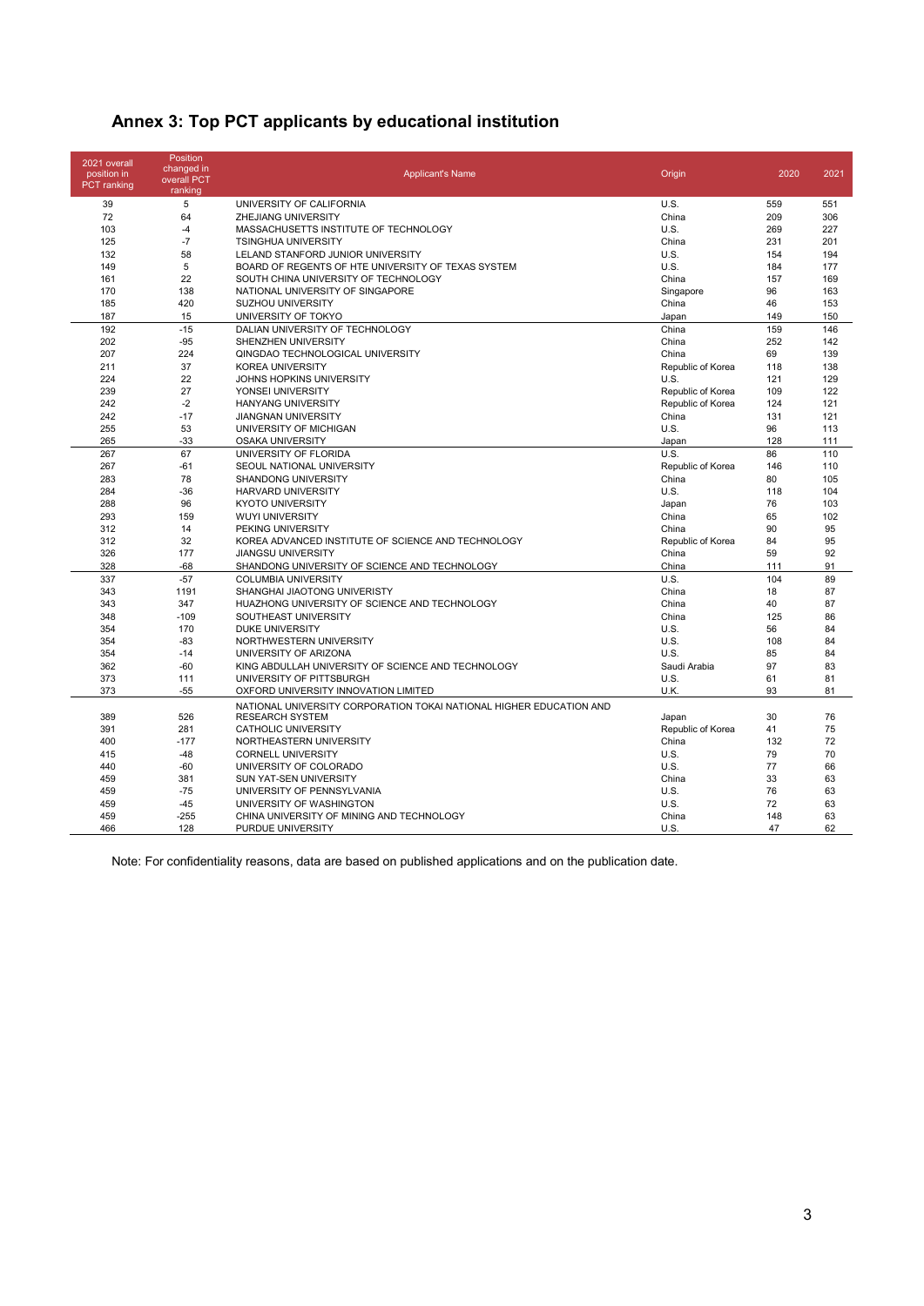| Annex 3: Top PCT applicants by educational institution |  |  |  |
|--------------------------------------------------------|--|--|--|
|--------------------------------------------------------|--|--|--|

| 2021 overall<br>position in<br><b>PCT</b> ranking | Position<br>changed in<br>overall PCT<br>ranking | <b>Applicant's Name</b>                                             | Origin            | 2020 | 2021 |
|---------------------------------------------------|--------------------------------------------------|---------------------------------------------------------------------|-------------------|------|------|
| 39                                                | 5                                                | UNIVERSITY OF CALIFORNIA                                            | U.S.              | 559  | 551  |
| 72                                                | 64                                               | ZHEJIANG UNIVERSITY                                                 | China             | 209  | 306  |
| 103                                               | $-4$                                             | MASSACHUSETTS INSTITUTE OF TECHNOLOGY                               | U.S.              | 269  | 227  |
| 125                                               | $-7$                                             | <b>TSINGHUA UNIVERSITY</b>                                          | China             | 231  | 201  |
| 132                                               | 58                                               | LELAND STANFORD JUNIOR UNIVERSITY                                   | U.S.              | 154  | 194  |
| 149                                               | 5                                                | BOARD OF REGENTS OF HTE UNIVERSITY OF TEXAS SYSTEM                  | U.S.              | 184  | 177  |
| 161                                               | 22                                               | SOUTH CHINA UNIVERSITY OF TECHNOLOGY                                | China             | 157  | 169  |
| 170                                               | 138                                              | NATIONAL UNIVERSITY OF SINGAPORE                                    | Singapore         | 96   | 163  |
| 185                                               | 420                                              | <b>SUZHOU UNIVERSITY</b>                                            | China             | 46   | 153  |
| 187                                               | 15                                               | UNIVERSITY OF TOKYO                                                 | Japan             | 149  | 150  |
| 192                                               | $-15$                                            | DALIAN UNIVERSITY OF TECHNOLOGY                                     | China             | 159  | 146  |
| 202                                               | $-95$                                            | SHENZHEN UNIVERSITY                                                 | China             | 252  | 142  |
| 207                                               | 224                                              | QINGDAO TECHNOLOGICAL UNIVERSITY                                    | China             | 69   | 139  |
| 211                                               | 37                                               | <b>KOREA UNIVERSITY</b>                                             | Republic of Korea | 118  | 138  |
| 224                                               | 22                                               | JOHNS HOPKINS UNIVERSITY                                            | U.S.              | 121  | 129  |
| 239                                               | 27                                               | YONSEI UNIVERSITY                                                   | Republic of Korea | 109  | 122  |
| 242                                               | $-2$                                             | <b>HANYANG UNIVERSITY</b>                                           | Republic of Korea | 124  | 121  |
| 242                                               | $-17$                                            | <b>JIANGNAN UNIVERSITY</b>                                          | China             | 131  | 121  |
| 255                                               | 53                                               | UNIVERSITY OF MICHIGAN                                              | U.S.              | 96   | 113  |
| 265                                               | $-33$                                            | <b>OSAKA UNIVERSITY</b>                                             | Japan             | 128  | 111  |
| 267                                               | 67                                               | UNIVERSITY OF FLORIDA                                               | U.S.              | 86   | 110  |
| 267                                               | $-61$                                            | SEOUL NATIONAL UNIVERSITY                                           | Republic of Korea | 146  | 110  |
| 283                                               | 78                                               | <b>SHANDONG UNIVERSITY</b>                                          | China             | 80   | 105  |
| 284                                               | $-36$                                            | <b>HARVARD UNIVERSITY</b>                                           | U.S.              | 118  | 104  |
| 288                                               | 96                                               | <b>KYOTO UNIVERSITY</b>                                             | Japan             | 76   | 103  |
| 293                                               | 159                                              | <b>WUYI UNIVERSITY</b>                                              | China             | 65   | 102  |
| 312                                               | 14                                               | PEKING UNIVERSITY                                                   | China             | 90   | 95   |
| 312                                               | 32                                               | KOREA ADVANCED INSTITUTE OF SCIENCE AND TECHNOLOGY                  | Republic of Korea | 84   | 95   |
| 326                                               | 177                                              | <b>JIANGSU UNIVERSITY</b>                                           | China             | 59   | 92   |
| 328                                               | $-68$                                            | SHANDONG UNIVERSITY OF SCIENCE AND TECHNOLOGY                       | China             | 111  | 91   |
| 337                                               | $-57$                                            | <b>COLUMBIA UNIVERSITY</b>                                          | U.S.              | 104  | 89   |
| 343                                               | 1191                                             | SHANGHAI JIAOTONG UNIVERISTY                                        | China             | 18   | 87   |
| 343                                               | 347                                              | HUAZHONG UNIVERSITY OF SCIENCE AND TECHNOLOGY                       | China             | 40   | 87   |
| 348                                               | $-109$                                           | SOUTHEAST UNIVERSITY                                                | China             | 125  | 86   |
| 354                                               | 170                                              | <b>DUKE UNIVERSITY</b>                                              | U.S.              | 56   | 84   |
| 354                                               | $-83$                                            | NORTHWESTERN UNIVERSITY                                             | U.S.              | 108  | 84   |
| 354                                               | $-14$                                            | UNIVERSITY OF ARIZONA                                               | U.S.              | 85   | 84   |
| 362                                               | $-60$                                            | KING ABDULLAH UNIVERSITY OF SCIENCE AND TECHNOLOGY                  | Saudi Arabia      | 97   | 83   |
| 373                                               | 111                                              | UNIVERSITY OF PITTSBURGH                                            | U.S.              | 61   | 81   |
| 373                                               | $-55$                                            | OXFORD UNIVERSITY INNOVATION LIMITED                                | U.K.              | 93   | 81   |
|                                                   |                                                  | NATIONAL UNIVERSITY CORPORATION TOKAI NATIONAL HIGHER EDUCATION AND |                   |      |      |
| 389                                               | 526                                              | <b>RESEARCH SYSTEM</b>                                              | Japan             | 30   | 76   |
| 391                                               | 281                                              | <b>CATHOLIC UNIVERSITY</b>                                          | Republic of Korea | 41   | 75   |
| 400                                               | $-177$                                           | NORTHEASTERN UNIVERSITY                                             | China             | 132  | 72   |
| 415                                               | $-48$                                            | <b>CORNELL UNIVERSITY</b>                                           | U.S.              | 79   | 70   |
| 440                                               | $-60$                                            | UNIVERSITY OF COLORADO                                              | U.S.              | 77   | 66   |
| 459                                               | 381                                              | SUN YAT-SEN UNIVERSITY                                              | China             | 33   | 63   |
| 459                                               | $-75$                                            | UNIVERSITY OF PENNSYLVANIA                                          | U.S.              | 76   | 63   |
| 459                                               | $-45$                                            | UNIVERSITY OF WASHINGTON                                            | U.S.              | 72   | 63   |
| 459                                               | $-255$                                           | CHINA UNIVERSITY OF MINING AND TECHNOLOGY                           | China             | 148  | 63   |
| 466                                               | 128                                              | PURDUE UNIVERSITY                                                   | U.S.              | 47   | 62   |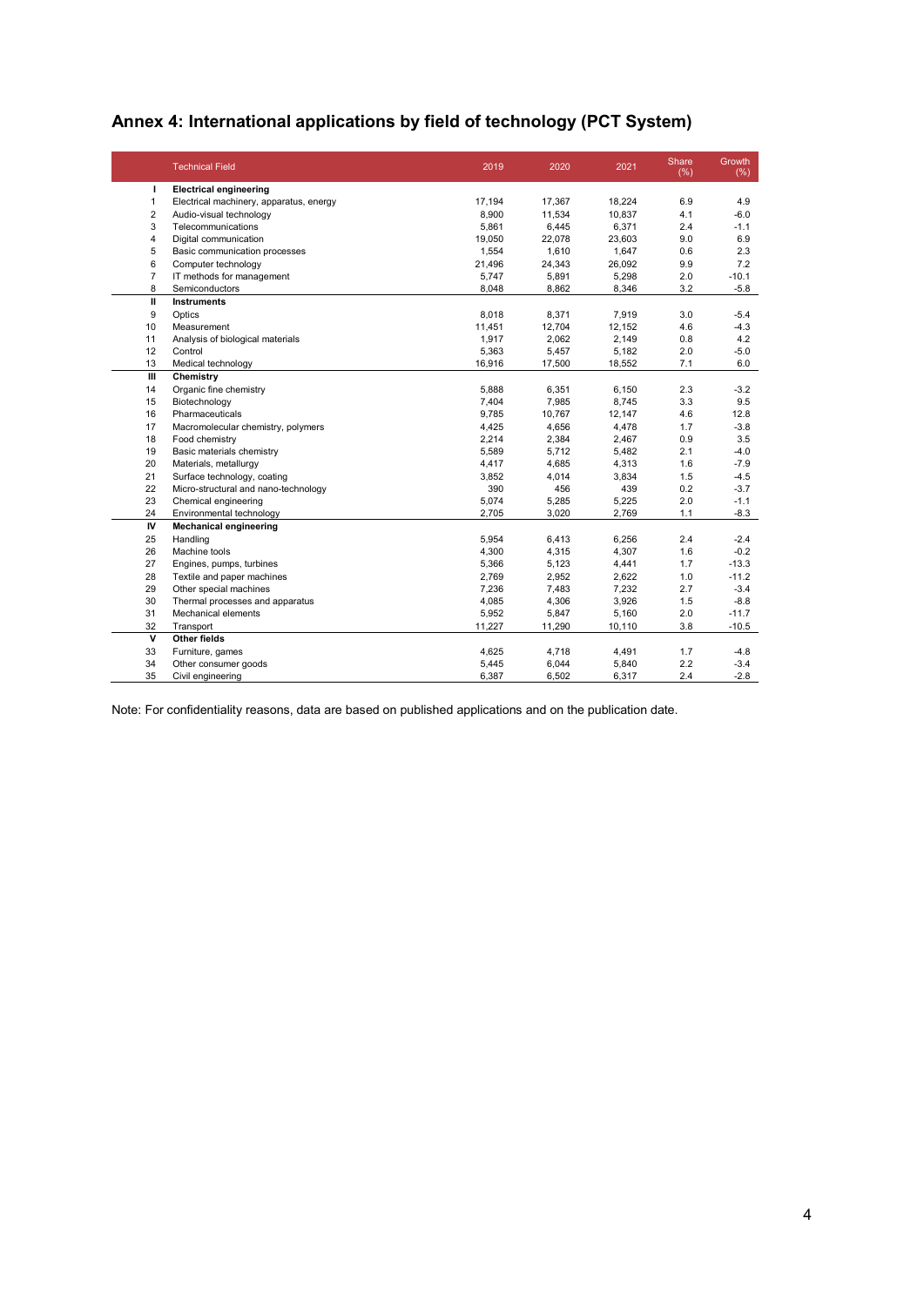## **Annex 4: International applications by field of technology (PCT System)**

|                | <b>Technical Field</b>                  | 2019   | 2020   | 2021   | Share<br>(% ) | Growth<br>(% ) |
|----------------|-----------------------------------------|--------|--------|--------|---------------|----------------|
| J.             | <b>Electrical engineering</b>           |        |        |        |               |                |
| 1              | Electrical machinery, apparatus, energy | 17,194 | 17,367 | 18,224 | 6.9           | 4.9            |
| $\overline{2}$ | Audio-visual technology                 | 8,900  | 11,534 | 10,837 | 4.1           | $-6.0$         |
| 3              | Telecommunications                      | 5,861  | 6,445  | 6,371  | 2.4           | $-1.1$         |
| 4              | Digital communication                   | 19,050 | 22,078 | 23,603 | 9.0           | 6.9            |
| 5              | Basic communication processes           | 1,554  | 1,610  | 1,647  | 0.6           | 2.3            |
| 6              | Computer technology                     | 21,496 | 24,343 | 26,092 | 9.9           | 7.2            |
| $\overline{7}$ | IT methods for management               | 5,747  | 5,891  | 5,298  | 2.0           | $-10.1$        |
| 8              | Semiconductors                          | 8,048  | 8,862  | 8,346  | 3.2           | $-5.8$         |
| Ш              | <b>Instruments</b>                      |        |        |        |               |                |
| 9              | Optics                                  | 8,018  | 8,371  | 7,919  | 3.0           | $-5.4$         |
| 10             | Measurement                             | 11,451 | 12,704 | 12,152 | 4.6           | $-4.3$         |
| 11             | Analysis of biological materials        | 1,917  | 2,062  | 2,149  | 0.8           | 4.2            |
| 12             | Control                                 | 5,363  | 5,457  | 5,182  | 2.0           | $-5.0$         |
| 13             | Medical technology                      | 16,916 | 17,500 | 18,552 | 7.1           | 6.0            |
| Ш              | Chemistry                               |        |        |        |               |                |
| 14             | Organic fine chemistry                  | 5,888  | 6,351  | 6,150  | 2.3           | $-3.2$         |
| 15             | Biotechnology                           | 7,404  | 7,985  | 8,745  | 3.3           | 9.5            |
| 16             | Pharmaceuticals                         | 9,785  | 10,767 | 12,147 | 4.6           | 12.8           |
| 17             | Macromolecular chemistry, polymers      | 4,425  | 4,656  | 4,478  | 1.7           | $-3.8$         |
| 18             | Food chemistry                          | 2,214  | 2,384  | 2,467  | 0.9           | 3.5            |
| 19             | Basic materials chemistry               | 5,589  | 5,712  | 5,482  | 2.1           | $-4.0$         |
| 20             | Materials, metallurgy                   | 4,417  | 4,685  | 4,313  | 1.6           | $-7.9$         |
| 21             | Surface technology, coating             | 3,852  | 4,014  | 3,834  | 1.5           | $-4.5$         |
| 22             | Micro-structural and nano-technology    | 390    | 456    | 439    | 0.2           | $-3.7$         |
| 23             | Chemical engineering                    | 5,074  | 5,285  | 5,225  | 2.0           | $-1.1$         |
| 24             | Environmental technology                | 2,705  | 3,020  | 2,769  | 1.1           | $-8.3$         |
| IV             | <b>Mechanical engineering</b>           |        |        |        |               |                |
| 25             | Handling                                | 5,954  | 6,413  | 6,256  | 2.4           | $-2.4$         |
| 26             | Machine tools                           | 4,300  | 4,315  | 4,307  | 1.6           | $-0.2$         |
| 27             | Engines, pumps, turbines                | 5,366  | 5,123  | 4,441  | 1.7           | $-13.3$        |
| 28             | Textile and paper machines              | 2,769  | 2,952  | 2,622  | 1.0           | $-11.2$        |
| 29             | Other special machines                  | 7,236  | 7,483  | 7,232  | 2.7           | $-3.4$         |
| 30             | Thermal processes and apparatus         | 4,085  | 4,306  | 3,926  | 1.5           | $-8.8$         |
| 31             | Mechanical elements                     | 5,952  | 5,847  | 5,160  | 2.0           | $-11.7$        |
| 32             | Transport                               | 11,227 | 11,290 | 10,110 | 3.8           | $-10.5$        |
| v              | Other fields                            |        |        |        |               |                |
| 33             | Furniture, games                        | 4,625  | 4,718  | 4,491  | 1.7           | $-4.8$         |
| 34             | Other consumer goods                    | 5,445  | 6,044  | 5,840  | 2.2           | $-3.4$         |
| 35             | Civil engineering                       | 6,387  | 6,502  | 6,317  | 2.4           | $-2.8$         |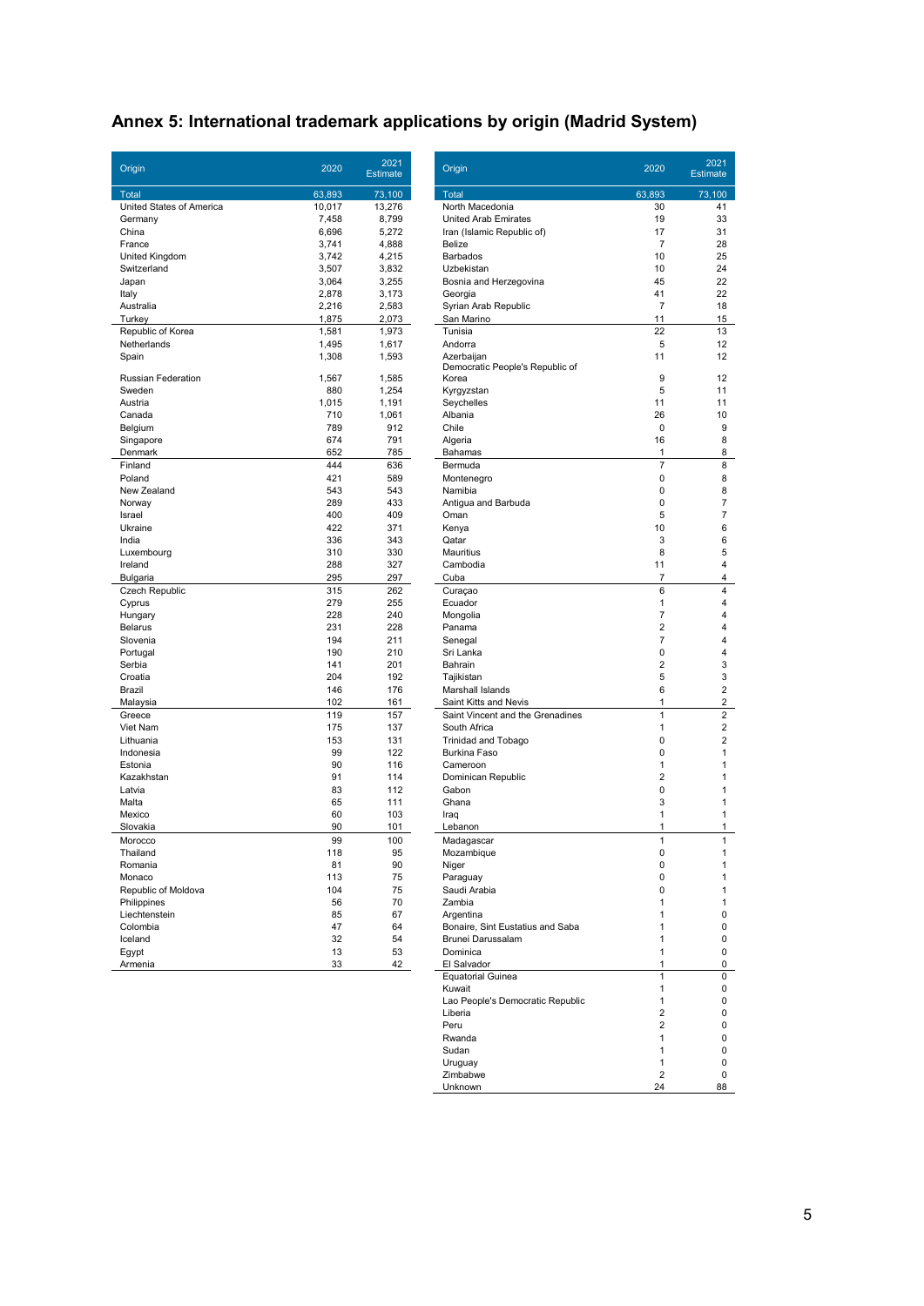## **Annex 5: International trademark applications by origin (Madrid System)**

| Origin                    | 2020     | 2021<br><b>Estimate</b> | Origin                                                | 2020           | 2021<br><b>Estimate</b> |
|---------------------------|----------|-------------------------|-------------------------------------------------------|----------------|-------------------------|
| Total                     | 63,893   | 73.100                  | Total                                                 | 63.893         | 73,100                  |
| United States of America  | 10,017   | 13,276                  | North Macedonia                                       | 30             | 41                      |
| Germany                   | 7,458    | 8,799                   | United Arab Emirates                                  | 19             | 33                      |
| China                     | 6,696    | 5,272                   | Iran (Islamic Republic of)                            | 17             | 31                      |
| France                    | 3,741    | 4,888                   | Belize                                                | $\overline{7}$ | 28                      |
| United Kingdom            | 3,742    | 4,215                   | <b>Barbados</b>                                       | 10             | 25                      |
| Switzerland               | 3,507    | 3,832                   | Uzbekistan                                            | 10             | 24                      |
| Japan                     | 3,064    | 3,255                   | Bosnia and Herzegovina                                | 45             | 22                      |
| Italy                     | 2,878    | 3,173                   | Georgia                                               | 41             | 22                      |
| Australia                 | 2.216    | 2,583                   | Syrian Arab Republic                                  | $\overline{7}$ | 18                      |
| Turkey                    | 1,875    | 2,073                   | San Marino                                            | 11             | 15                      |
| Republic of Korea         | 1,581    | 1,973                   | Tunisia                                               | 22             | 13                      |
| Netherlands               | 1,495    | 1,617                   | Andorra                                               | 5              | 12                      |
| Spain                     | 1,308    | 1,593                   | Azerbaijan<br>Democratic People's Republic of         | 11             | 12                      |
| Russian Federation        | 1,567    | 1.585                   | Korea                                                 | 9              | 12                      |
| Sweden                    | 880      | 1,254                   | Kyrgyzstan                                            | 5              | 11                      |
| Austria                   | 1,015    | 1,191                   | Seychelles                                            | 11             | 11                      |
| Canada                    | 710      | 1,061                   | Albania                                               | 26             | 10                      |
| Belgium                   | 789      | 912                     | Chile                                                 | $\mathbf 0$    | g                       |
| Singapore                 | 674      | 791                     | Algeria                                               | 16             | 8                       |
| Denmark                   | 652      | 785                     | Bahamas                                               | 1              | 8                       |
| Finland                   | 444      | 636                     | Bermuda                                               | $\overline{7}$ | 8                       |
| Poland                    | 421      | 589                     | Montenegro                                            | 0              | 8                       |
| New Zealand               | 543      | 543                     | Namibia                                               | 0              | 8                       |
| Norway                    | 289      | 433                     | Antigua and Barbuda                                   | 0              | 7                       |
| Israel                    | 400      | 409                     | Oman                                                  | 5              | 7                       |
| Ukraine                   | 422      | 371                     | Kenya                                                 | 10             | 6                       |
| India                     | 336      | 343                     | Qatar                                                 | 3              | 6                       |
| Luxembourg                | 310      | 330                     | Mauritius                                             | 8              | 5                       |
| Ireland                   | 288      | 327                     | Cambodia                                              | 11             | 4                       |
| Bulgaria                  | 295      | 297                     | Cuba                                                  | 7              | 4                       |
| Czech Republic            | 315      | 262                     | Curaçao                                               | 6              | 4                       |
| Cyprus                    | 279      | 255                     | Ecuador                                               | 1              | 4                       |
| Hungary                   | 228      | 240                     | Mongolia                                              | $\overline{7}$ | 4                       |
| <b>Belarus</b>            | 231      | 228                     | Panama                                                | $\overline{2}$ | 4                       |
| Slovenia                  | 194      | 211                     | Senegal                                               | $\overline{7}$ | 4                       |
| Portugal                  | 190      | 210                     | Sri Lanka                                             | 0              | 4                       |
| Serbia                    | 141      | 201                     | Bahrain                                               | $\overline{2}$ | 3                       |
| Croatia                   | 204      | 192                     | Tajikistan                                            | 5              | 3                       |
| Brazil                    | 146      | 176                     | Marshall Islands                                      | 6              | 2                       |
| Malaysia                  | 102      | 161                     | Saint Kitts and Nevis                                 | $\mathbf{1}$   | 2                       |
| Greece                    | 119      | 157                     | Saint Vincent and the Grenadines                      | $\mathbf{1}$   | 2                       |
| Viet Nam                  | 175      | 137                     | South Africa                                          | 1              | 2                       |
| Lithuania                 | 153      | 131                     | <b>Trinidad and Tobago</b>                            | 0              | 2                       |
| Indonesia                 | 99       | 122                     | <b>Burkina Faso</b>                                   | 0              |                         |
| Estonia                   | 90       | 116                     | Cameroon                                              | 1              | 1                       |
| Kazakhstan                | 91       | 114                     | Dominican Republic                                    | $\overline{2}$ | 1                       |
| Latvia                    | 83       | 112                     | Gabon                                                 | 0              |                         |
| Malta                     | 65       | 111                     | Ghana                                                 | 3              | 1                       |
| Mexico                    | 60       | 103                     | Iraq                                                  | $\mathbf{1}$   | 1                       |
| Slovakia                  | 90       | 101                     | Lebanon                                               | 1              |                         |
| Morocco                   | 99       | 100                     | Madagascar                                            | 1              | $\overline{1}$          |
| Thailand                  | 118      | 95                      | Mozambique                                            | 0              |                         |
| Romania                   | 81       | 90                      | Niger                                                 | 0              | 1                       |
| Monaco                    | 113      | 75                      | Paraguay                                              | 0              | 1                       |
| Republic of Moldova       | 104      | 75                      | Saudi Arabia                                          | 0              | 1                       |
| Philippines               | 56       | 70                      | Zambia                                                | 1              | 1                       |
| Liechtenstein<br>Colombia | 85<br>47 | 67<br>64                | Argentina                                             | 1<br>1         | O                       |
|                           |          |                         | Bonaire, Sint Eustatius and Saba<br>Brunei Darussalam |                | O                       |
| Iceland                   | 32       | 54                      | Dominica                                              | 1<br>1         | O<br>O                  |
| Egypt<br>Armenia          | 13<br>33 | 53<br>42                | El Salvador                                           | $\mathbf{1}$   | O                       |
|                           |          |                         |                                                       |                |                         |

| 2021<br>Estimate | Origin                                                    | 2020           | 2021<br><b>Estimate</b> |
|------------------|-----------------------------------------------------------|----------------|-------------------------|
| 73,100           | <b>Total</b>                                              | 63,893         | 73,100                  |
| 13,276           | North Macedonia                                           | 30             | 41                      |
| 8,799            | <b>United Arab Emirates</b>                               | 19             | 33                      |
| 5,272            | Iran (Islamic Republic of)                                | 17             | 31                      |
| 4,888            | Belize                                                    | $\overline{7}$ | 28                      |
| 4,215            | <b>Barbados</b>                                           | 10             | 25                      |
| 3,832            | Uzbekistan                                                | 10<br>45       | 24<br>22                |
| 3,255<br>3,173   | Bosnia and Herzegovina<br>Georgia                         | 41             | 22                      |
| 2,583            | Syrian Arab Republic                                      | $\overline{7}$ | 18                      |
| 2,073            | San Marino                                                | 11             | 15                      |
| 1,973            | Tunisia                                                   | 22             | 13                      |
| 1,617            | Andorra                                                   | 5              | 12                      |
| 1,593            | Azerbaijan                                                | 11             | 12                      |
|                  | Democratic People's Republic of                           |                |                         |
| 1,585            | Korea                                                     | 9              | 12                      |
| 1,254<br>1,191   | Kyrgyzstan                                                | 5<br>11        | 11<br>11                |
| 1,061            | Seychelles<br>Albania                                     | 26             | 10                      |
| 912              | Chile                                                     | 0              | 9                       |
| 791              | Algeria                                                   | 16             | 8                       |
| 785              | Bahamas                                                   | 1              | 8                       |
| 636              | Bermuda                                                   | 7              | 8                       |
| 589              | Montenegro                                                | 0              | 8                       |
| 543              | Namibia                                                   | 0              | 8                       |
| 433              | Antigua and Barbuda                                       | 0              | 7                       |
| 409              | Oman                                                      | 5              | 7                       |
| 371              | Kenya                                                     | 10             | 6                       |
| 343              | Qatar                                                     | 3              | 6                       |
| 330              | <b>Mauritius</b>                                          | 8              | 5                       |
| 327<br>297       | Cambodia<br>Cuba                                          | 11<br>7        | 4<br>4                  |
| 262              | Curaçao                                                   | 6              | 4                       |
| 255              | Ecuador                                                   | 1              | 4                       |
| 240              | Mongolia                                                  | 7              | 4                       |
| 228              | Panama                                                    | 2              | 4                       |
| 211              | Senegal                                                   | 7              | 4                       |
| 210              | Sri Lanka                                                 | 0              | 4                       |
| 201              | Bahrain                                                   | 2              | 3                       |
| 192              | Tajikistan                                                | 5              | 3                       |
| 176              | Marshall Islands                                          | 6              | 2                       |
| 161              | Saint Kitts and Nevis<br>Saint Vincent and the Grenadines | 1<br>1         | 2<br>$\overline{2}$     |
| 157<br>137       | South Africa                                              | 1              | $\overline{2}$          |
| 131              | <b>Trinidad and Tobago</b>                                | 0              | 2                       |
| 122              | Burkina Faso                                              | 0              | 1                       |
| 116              | Cameroon                                                  | 1              | 1                       |
| 114              | Dominican Republic                                        | $\overline{2}$ | 1                       |
| 112              | Gabon                                                     | 0              | 1                       |
| 111              | Ghana                                                     | 3              | 1                       |
| 103              | Irag                                                      | 1              | 1                       |
| 101              | Lebanon                                                   | 1              | 1                       |
| 100              | Madagascar                                                | 1              | 1                       |
| 95<br>90         | mozambique<br>Niger                                       | 0<br>0         | 1<br>1                  |
| 75               | Paraguay                                                  | 0              | 1                       |
| 75               | Saudi Arabia                                              | 0              | 1                       |
| 70               | Zambia                                                    | 1              | 1                       |
| 67               | Argentina                                                 | 1              | 0                       |
| 64               | Bonaire, Sint Eustatius and Saba                          | 1              | 0                       |
| 54               | Brunei Darussalam                                         | $\mathbf{1}$   | 0                       |
| 53               | Dominica                                                  | $\mathbf{1}$   | 0                       |
| 42               | El Salvador                                               | 1              | 0                       |
|                  | <b>Equatorial Guinea</b>                                  | 1              | 0                       |
|                  | Kuwait                                                    | 1<br>1         | 0                       |
|                  | Lao People's Democratic Republic<br>Liberia               | 2              | 0<br>0                  |
|                  | Peru                                                      | 2              | 0                       |
|                  | Rwanda                                                    | 1              | 0                       |
|                  | Sudan                                                     | 1              | 0                       |
|                  | Uruguay                                                   | 1              | 0                       |
|                  | Zimbabwe                                                  | $\overline{2}$ | 0                       |
|                  | Unknown                                                   | 24             | 88                      |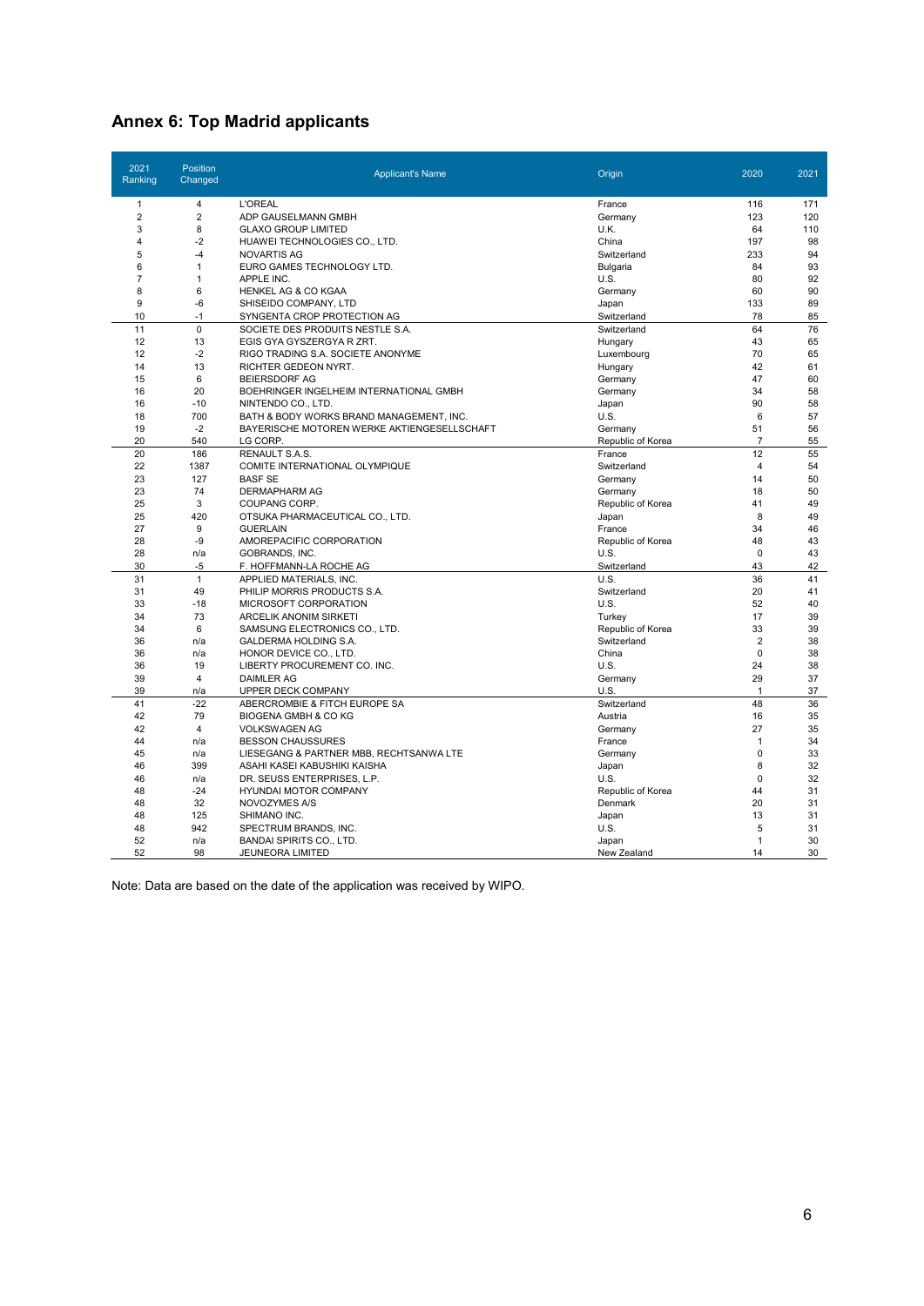### **Annex 6: Top Madrid applicants**

| 2021<br>Ranking | <b>Position</b><br>Changed | <b>Applicant's Name</b>                     | Origin            | 2020                     | 2021     |
|-----------------|----------------------------|---------------------------------------------|-------------------|--------------------------|----------|
| 1               | 4                          | <b>L'OREAL</b>                              | France            | 116                      | 171      |
| $\overline{2}$  | $\overline{2}$             | ADP GAUSELMANN GMBH                         | Germany           | 123                      | 120      |
| 3               | 8                          | <b>GLAXO GROUP LIMITED</b>                  | U.K.              | 64                       | 110      |
| 4               | $-2$                       | HUAWEI TECHNOLOGIES CO., LTD.               | China             | 197                      | 98       |
| 5               | $-4$                       | <b>NOVARTIS AG</b>                          | Switzerland       | 233                      | 94       |
| 6               | 1                          | EURO GAMES TECHNOLOGY LTD.                  | Bulgaria          | 84                       | 93       |
| $\overline{7}$  | $\mathbf{1}$               | APPLE INC.                                  | U.S.              | 80                       | 92       |
| 8               | 6                          | HENKEL AG & CO KGAA                         | Germany           | 60                       | 90       |
| 9               | $-6$                       | SHISEIDO COMPANY, LTD                       | Japan             | 133                      | 89       |
| 10              | $-1$                       | SYNGENTA CROP PROTECTION AG                 | Switzerland       | 78                       | 85       |
| 11              | $\mathbf 0$                | SOCIETE DES PRODUITS NESTLE S.A.            | Switzerland       | 64                       | 76       |
| 12              | 13                         | EGIS GYA GYSZERGYA R ZRT.                   | Hungary           | 43                       | 65       |
| 12              | $-2$                       | RIGO TRADING S.A. SOCIETE ANONYME           | Luxembourg        | 70                       | 65       |
| 14              | 13                         | RICHTER GEDEON NYRT.                        | Hungary           | 42                       | 61       |
| 15              | 6                          | <b>BEIERSDORF AG</b>                        | Germany           | 47                       | 60       |
| 16              | 20                         | BOEHRINGER INGELHEIM INTERNATIONAL GMBH     | Germany           | 34                       | 58       |
| 16              | $-10$                      | NINTENDO CO., LTD.                          | Japan             | 90                       | 58       |
| 18              | 700                        | BATH & BODY WORKS BRAND MANAGEMENT, INC.    | U.S.              | 6                        | 57       |
| 19              | $-2$                       | BAYERISCHE MOTOREN WERKE AKTIENGESELLSCHAFT | Germany           | 51                       | 56       |
| 20              | 540                        | LG CORP                                     | Republic of Korea | $\overline{7}$           | 55       |
| 20              | 186                        | RENAULT S.A.S.                              | France            | 12                       | 55       |
| 22              | 1387                       | COMITE INTERNATIONAL OLYMPIQUE              | Switzerland       | $\overline{4}$           | 54       |
| 23              | 127                        | <b>BASF SE</b>                              | Germany           | 14                       | 50       |
| 23              | 74                         | <b>DERMAPHARM AG</b>                        | Germany           | 18                       | 50       |
| 25              | 3                          | COUPANG CORP.                               | Republic of Korea | 41                       | 49       |
| 25              | 420                        | OTSUKA PHARMACEUTICAL CO., LTD.             | Japan             | 8                        | 49       |
| 27              | 9                          | <b>GUERLAIN</b>                             | France            | 34                       | 46       |
| 28              | -9                         | AMOREPACIFIC CORPORATION                    | Republic of Korea | 48                       | 43       |
| 28              | n/a                        | GOBRANDS, INC.                              | U.S.              | $\Omega$                 | 43       |
| 30              | $-5$                       | F. HOFFMANN-LA ROCHE AG                     | Switzerland       | 43                       | 42       |
| 31              | $\mathbf{1}$               | APPLIED MATERIALS, INC.                     | U.S.              | 36                       | 41       |
| 31              | 49                         | PHILIP MORRIS PRODUCTS S.A.                 | Switzerland       | 20                       | 41       |
| 33              | $-18$                      | MICROSOFT CORPORATION                       | U.S.              | 52                       | 40       |
| 34              | 73                         | <b>ARCELIK ANONIM SIRKETI</b>               | Turkey            | 17                       | 39       |
| 34              | 6                          | SAMSUNG ELECTRONICS CO., LTD.               | Republic of Korea | 33                       | 39       |
| 36              | n/a                        | GALDERMA HOLDING S.A.                       | Switzerland       | $\overline{2}$           | 38       |
| 36              | n/a                        | HONOR DEVICE CO., LTD.                      | China             | $\Omega$                 | 38       |
| 36              | 19                         | LIBERTY PROCUREMENT CO. INC.                | U.S.              | 24                       | 38       |
| 39              | $\overline{4}$             | <b>DAIMLER AG</b>                           | Germany           | 29                       | 37       |
| 39              | n/a                        | UPPER DECK COMPANY                          | U.S.              | $\overline{1}$           | 37       |
| 41              | $-22$                      | ABERCROMBIE & FITCH EUROPE SA               | Switzerland       | 48                       | 36       |
| 42              | 79                         | <b>BIOGENA GMBH &amp; CO KG</b>             | Austria           | 16                       | 35       |
| 42              | $\overline{4}$             | <b>VOLKSWAGEN AG</b>                        | Germany           | 27                       | 35       |
| 44              | n/a                        | <b>BESSON CHAUSSURES</b>                    | France            | $\mathbf{1}$<br>$\Omega$ | 34       |
| 45              | n/a                        | LIESEGANG & PARTNER MBB, RECHTSANWA LTE     | Germany           |                          | 33       |
| 46              | 399                        | ASAHI KASEI KABUSHIKI KAISHA                | Japan             | 8<br>$\Omega$            | 32       |
| 46<br>48        | n/a<br>$-24$               | DR. SEUSS ENTERPRISES, L.P.                 | U.S.              | 44                       | 32<br>31 |
|                 |                            | HYUNDAI MOTOR COMPANY                       | Republic of Korea |                          |          |
| 48<br>48        | 32<br>125                  | NOVOZYMES A/S                               | Denmark           | 20<br>13                 | 31<br>31 |
| 48              | 942                        | SHIMANO INC.                                | Japan             | 5                        | 31       |
|                 |                            | SPECTRUM BRANDS, INC.                       | U.S.              |                          |          |
| 52<br>52        | n/a<br>98                  | <b>BANDAI SPIRITS CO., LTD.</b>             | Japan             | $\mathbf{1}$<br>14       | 30<br>30 |
|                 |                            | JEUNEORA LIMITED                            | New Zealand       |                          |          |

Note: Data are based on the date of the application was received by WIPO.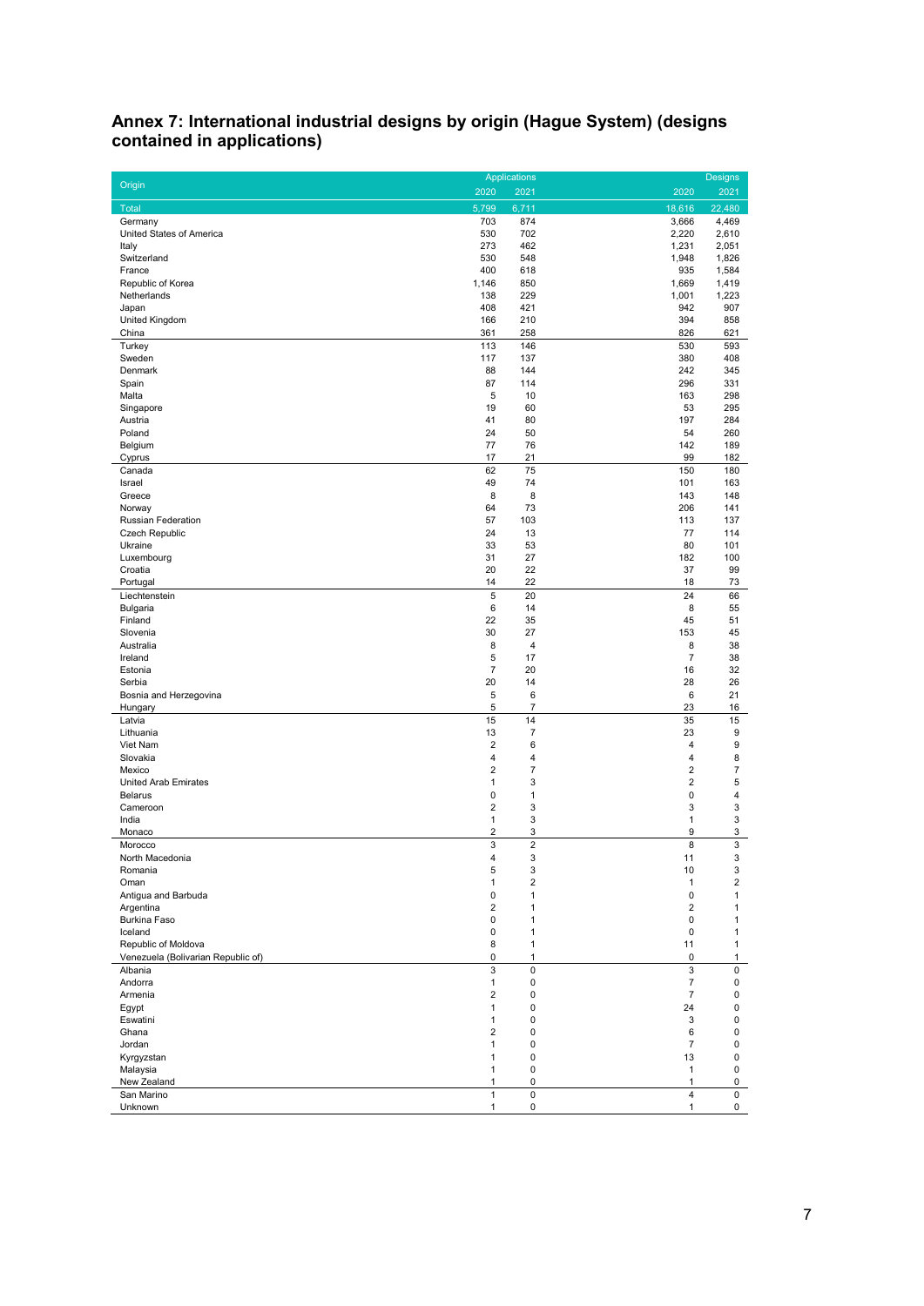#### **Annex 7: International industrial designs by origin (Hague System) (designs contained in applications)**

|                                    |                              | <b>Applications</b>          |                              | <b>Designs</b>   |
|------------------------------------|------------------------------|------------------------------|------------------------------|------------------|
| Origin                             | 2020                         | 2021                         | 2020                         | 2021             |
| Total                              | 5,799                        | 6,711                        | 18.616                       | 22,480           |
| Germany                            | 703                          | 874                          | 3,666                        | 4,469            |
| United States of America           | 530                          | 702                          | 2,220                        | 2,610            |
| Italy                              | 273                          | 462                          | 1,231                        | 2,051            |
| Switzerland                        | 530                          | 548                          | 1,948                        | 1,826            |
| France                             | 400                          | 618                          | 935                          | 1,584            |
| Republic of Korea<br>Netherlands   | 1,146<br>138                 | 850<br>229                   | 1,669<br>1,001               | 1,419<br>1,223   |
| Japan                              | 408                          | 421                          | 942                          | 907              |
| United Kingdom                     | 166                          | 210                          | 394                          | 858              |
| China                              | 361                          | 258                          | 826                          | 621              |
| Turkey                             | 113                          | 146                          | 530                          | 593              |
| Sweden                             | 117                          | 137                          | 380                          | 408              |
| Denmark                            | 88                           | 144                          | 242                          | 345              |
| Spain                              | 87                           | 114                          | 296                          | 331              |
| Malta                              | 5                            | 10                           | 163                          | 298              |
| Singapore<br>Austria               | 19<br>41                     | 60<br>80                     | 53<br>197                    | 295<br>284       |
| Poland                             | 24                           | 50                           | 54                           | 260              |
| Belgium                            | 77                           | 76                           | 142                          | 189              |
| Cyprus                             | 17                           | 21                           | 99                           | 182              |
| Canada                             | 62                           | 75                           | 150                          | 180              |
| Israel                             | 49                           | 74                           | 101                          | 163              |
| Greece                             | 8                            | 8                            | 143                          | 148              |
| Norway                             | 64                           | 73                           | 206                          | 141              |
| Russian Federation                 | 57                           | 103                          | 113                          | 137              |
| Czech Republic                     | 24                           | 13                           | 77                           | 114              |
| Ukraine                            | 33                           | 53                           | 80                           | 101              |
| Luxembourg                         | 31                           | 27                           | 182                          | 100              |
| Croatia<br>Portugal                | 20<br>14                     | 22<br>22                     | 37<br>18                     | 99<br>73         |
| Liechtenstein                      | 5                            | 20                           | 24                           | 66               |
| Bulgaria                           | 6                            | 14                           | 8                            | 55               |
| Finland                            | 22                           | 35                           | 45                           | 51               |
| Slovenia                           | 30                           | 27                           | 153                          | 45               |
| Australia                          | 8                            | $\overline{\mathbf{4}}$      | 8                            | 38               |
| Ireland                            | 5                            | 17                           | $\overline{7}$               | 38               |
| Estonia                            | $\overline{7}$               | 20                           | 16                           | 32               |
| Serbia                             | 20                           | 14                           | 28                           | 26               |
| Bosnia and Herzegovina             | $\,$ 5 $\,$                  | 6                            | 6                            | 21               |
| Hungary                            | 5                            | $\boldsymbol{7}$             | 23                           | 16               |
| Latvia                             | 15                           | 14                           | 35                           | 15               |
| Lithuania<br>Viet Nam              | 13<br>$\overline{2}$         | $\boldsymbol{7}$<br>6        | 23<br>4                      | 9<br>9           |
| Slovakia                           | $\overline{4}$               | 4                            | $\overline{4}$               | 8                |
| Mexico                             | $\overline{2}$               | 7                            | $\overline{2}$               | 7                |
| <b>United Arab Emirates</b>        | $\mathbf{1}$                 | 3                            | $\overline{2}$               | 5                |
| <b>Belarus</b>                     | 0                            | 1                            | 0                            | 4                |
| Cameroon                           | $\overline{2}$               | 3                            | 3                            | 3                |
| India                              | $\mathbf{1}$                 | 3                            | $\mathbf{1}$                 | 3                |
| Monaco                             | $\overline{\mathbf{c}}$      | 3                            | 9                            | 3                |
| Morocco                            | 3                            | $\overline{c}$               | 8                            | 3                |
| North Macedonia                    | 4                            | 3                            | 11                           | 3                |
| Romania                            | $\mathbf 5$                  | 3                            | 10                           | 3                |
| Oman                               | $\mathbf{1}$<br>$\mathbf 0$  | $\overline{2}$               | $\mathbf{1}$                 | $\overline{2}$   |
| Antigua and Barbuda<br>Argentina   | $\overline{2}$               | $\mathbf{1}$<br>$\mathbf{1}$ | 0<br>$\overline{2}$          | 1<br>1           |
| Burkina Faso                       | $\pmb{0}$                    | $\mathbf{1}$                 | $\pmb{0}$                    | $\mathbf{1}$     |
| Iceland                            | $\mathbf 0$                  | $\mathbf{1}$                 | 0                            | 1                |
| Republic of Moldova                | 8                            | $\mathbf{1}$                 | 11                           | $\mathbf{1}$     |
| Venezuela (Bolivarian Republic of) | $\pmb{0}$                    | $\mathbf{1}$                 | 0                            | $\mathbf{1}$     |
| Albania                            | $\mathbf{3}$                 | 0                            | 3                            | 0                |
| Andorra                            | $\mathbf{1}$                 | 0                            | $\overline{7}$               | 0                |
| Armenia                            | $\overline{2}$               | 0                            | $\overline{7}$               | 0                |
| Eqypt                              | $\mathbf{1}$                 | 0                            | 24                           | 0                |
| Eswatini                           | $\mathbf{1}$                 | 0                            | 3                            | 0                |
| Ghana                              | $\overline{2}$               | 0                            | 6                            | 0                |
| Jordan                             | $\mathbf{1}$                 | 0                            | $\overline{7}$               | 0                |
| Kyrgyzstan                         | $\mathbf{1}$<br>$\mathbf{1}$ | 0<br>0                       | 13                           | 0                |
| Malaysia<br>New Zealand            | $\mathbf{1}$                 | 0                            | $\mathbf{1}$<br>$\mathbf{1}$ | 0<br>$\mathbf 0$ |
| San Marino                         | $\mathbf{1}$                 | 0                            | $\overline{4}$               | 0                |
| Unknown                            | $\mathbf{1}$                 | 0                            | $\mathbf{1}$                 | 0                |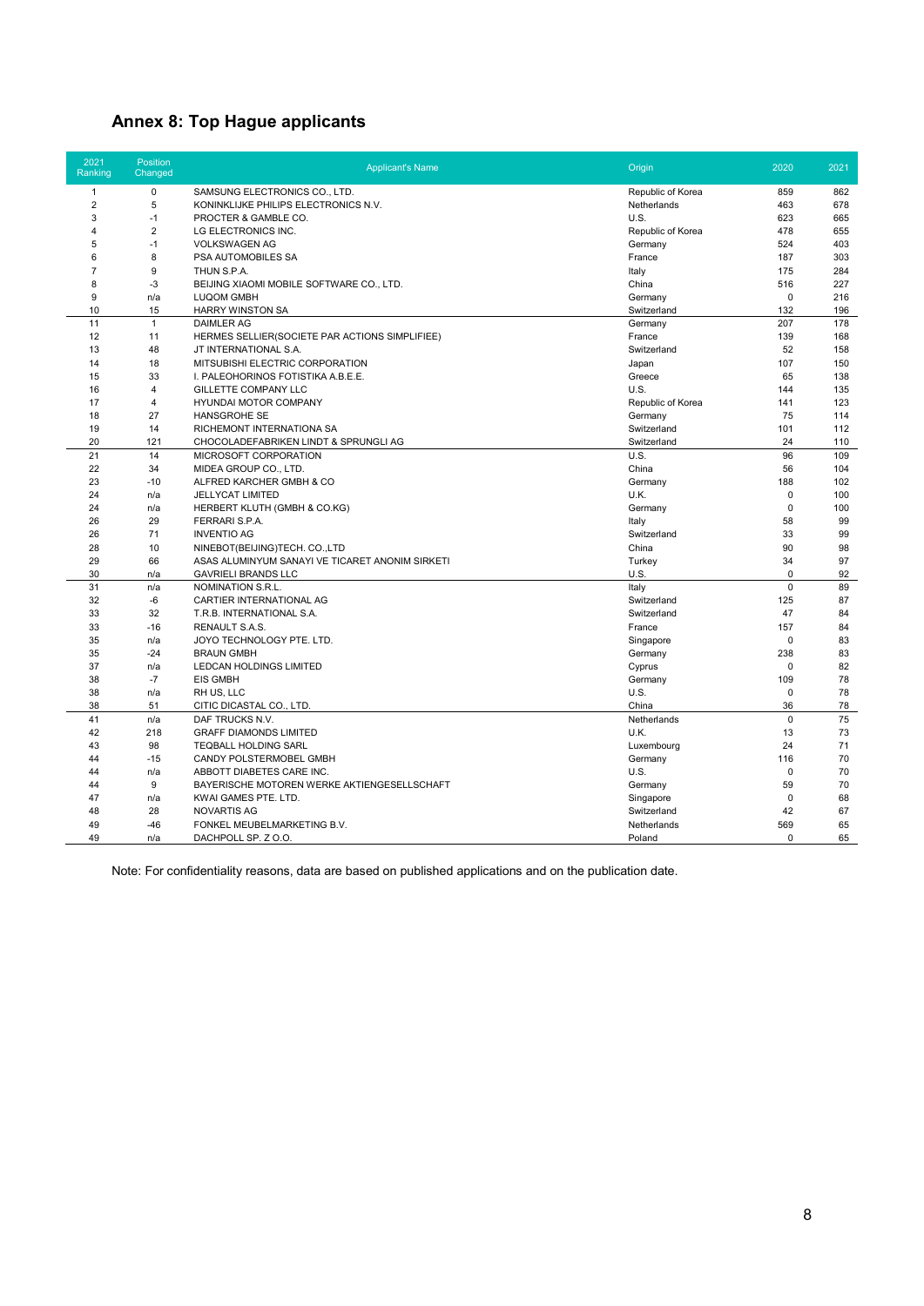## **Annex 8: Top Hague applicants**

| 2021<br>Ranking | Position<br>Changed | <b>Applicant's Name</b>                         | Origin            | 2020        | 2021 |
|-----------------|---------------------|-------------------------------------------------|-------------------|-------------|------|
| $\mathbf{1}$    | $\mathbf 0$         | SAMSUNG ELECTRONICS CO., LTD.                   | Republic of Korea | 859         | 862  |
| $\overline{2}$  | 5                   | KONINKLIJKE PHILIPS ELECTRONICS N.V.            | Netherlands       | 463         | 678  |
| 3               | $-1$                | PROCTER & GAMBLE CO.                            | U.S.              | 623         | 665  |
| 4               | $\overline{2}$      | LG ELECTRONICS INC.                             | Republic of Korea | 478         | 655  |
| 5               | $-1$                | <b>VOLKSWAGEN AG</b>                            | Germany           | 524         | 403  |
| 6               | 8                   | PSA AUTOMOBILES SA                              | France            | 187         | 303  |
| $\overline{7}$  | 9                   | THUN S.P.A.                                     | Italy             | 175         | 284  |
| 8               | $-3$                | BEIJING XIAOMI MOBILE SOFTWARE CO., LTD.        | China             | 516         | 227  |
| 9               | n/a                 | <b>LUQOM GMBH</b>                               | Germany           | $\mathbf 0$ | 216  |
| 10              | 15                  | <b>HARRY WINSTON SA</b>                         | Switzerland       | 132         | 196  |
| 11              | $\mathbf{1}$        | <b>DAIMLER AG</b>                               | Germany           | 207         | 178  |
| 12              | 11                  | HERMES SELLIER(SOCIETE PAR ACTIONS SIMPLIFIEE)  | France            | 139         | 168  |
| 13              | 48                  | JT INTERNATIONAL S.A.                           | Switzerland       | 52          | 158  |
| 14              | 18                  | MITSUBISHI ELECTRIC CORPORATION                 | Japan             | 107         | 150  |
| 15              | 33                  | I. PALEOHORINOS FOTISTIKA A.B.E.E.              | Greece            | 65          | 138  |
| 16              | $\overline{4}$      | <b>GILLETTE COMPANY LLC</b>                     | U.S.              | 144         | 135  |
| 17              | $\overline{4}$      | HYUNDAI MOTOR COMPANY                           | Republic of Korea | 141         | 123  |
| 18              | 27                  | <b>HANSGROHE SE</b>                             | Germany           | 75          | 114  |
| 19              | 14                  | RICHEMONT INTERNATIONA SA                       | Switzerland       | 101         | 112  |
| 20              | 121                 | CHOCOLADEFABRIKEN LINDT & SPRUNGLI AG           | Switzerland       | 24          | 110  |
| 21              | 14                  | MICROSOFT CORPORATION                           | U.S.              | 96          | 109  |
| 22              | 34                  | MIDEA GROUP CO., LTD.                           | China             | 56          | 104  |
| 23              | $-10$               | ALFRED KARCHER GMBH & CO                        | Germany           | 188         | 102  |
| 24              | n/a                 | <b>JELLYCAT LIMITED</b>                         | U.K.              | $\mathbf 0$ | 100  |
| 24              | n/a                 | HERBERT KLUTH (GMBH & CO.KG)                    | Germany           | 0           | 100  |
| 26              | 29                  | FERRARI S.P.A.                                  | Italy             | 58          | 99   |
| 26              | 71                  | <b>INVENTIO AG</b>                              | Switzerland       | 33          | 99   |
| 28              | 10                  | NINEBOT(BEIJING)TECH. CO.,LTD                   | China             | 90          | 98   |
| 29              | 66                  | ASAS ALUMINYUM SANAYI VE TICARET ANONIM SIRKETI | Turkey            | 34          | 97   |
| 30              | n/a                 | <b>GAVRIELI BRANDS LLC</b>                      | U.S.              | 0           | 92   |
| 31              | n/a                 | NOMINATION S.R.L.                               | Italy             | $\mathbf 0$ | 89   |
| 32              | -6                  | CARTIER INTERNATIONAL AG                        | Switzerland       | 125         | 87   |
| 33              | 32                  | T.R.B. INTERNATIONAL S.A.                       | Switzerland       | 47          | 84   |
| 33              | $-16$               | <b>RENAULT S.A.S.</b>                           | France            | 157         | 84   |
| 35              | n/a                 | JOYO TECHNOLOGY PTE. LTD.                       | Singapore         | 0           | 83   |
| 35              | $-24$               | <b>BRAUN GMBH</b>                               | Germany           | 238         | 83   |
| 37              | n/a                 | LEDCAN HOLDINGS LIMITED                         | Cyprus            | $\mathbf 0$ | 82   |
| 38              | $-7$                | EIS GMBH                                        | Germany           | 109         | 78   |
| 38              | n/a                 | RH US, LLC                                      | U.S.              | $\mathbf 0$ | 78   |
| 38              | 51                  | CITIC DICASTAL CO., LTD.                        | China             | 36          | 78   |
| 41              | n/a                 | DAF TRUCKS N.V.                                 | Netherlands       | $\mathbf 0$ | 75   |
| 42              | 218                 | <b>GRAFF DIAMONDS LIMITED</b>                   | U.K.              | 13          | 73   |
| 43              | 98                  | <b>TEQBALL HOLDING SARL</b>                     | Luxembourg        | 24          | 71   |
| 44              | $-15$               | CANDY POLSTERMOBEL GMBH                         | Germany           | 116         | 70   |
| 44              | n/a                 | ABBOTT DIABETES CARE INC.                       | U.S.              | $\mathbf 0$ | 70   |
| 44              | 9                   | BAYERISCHE MOTOREN WERKE AKTIENGESELLSCHAFT     | Germany           | 59          | 70   |
| 47              | n/a                 | KWAI GAMES PTE. LTD.                            | Singapore         | $\mathbf 0$ | 68   |
| 48              | 28                  | <b>NOVARTIS AG</b>                              | Switzerland       | 42          | 67   |
| 49              | $-46$               | FONKEL MEUBELMARKETING B.V.                     | Netherlands       | 569         | 65   |
| 49              | n/a                 | DACHPOLL SP. Z O.O.                             | Poland            | $\Omega$    | 65   |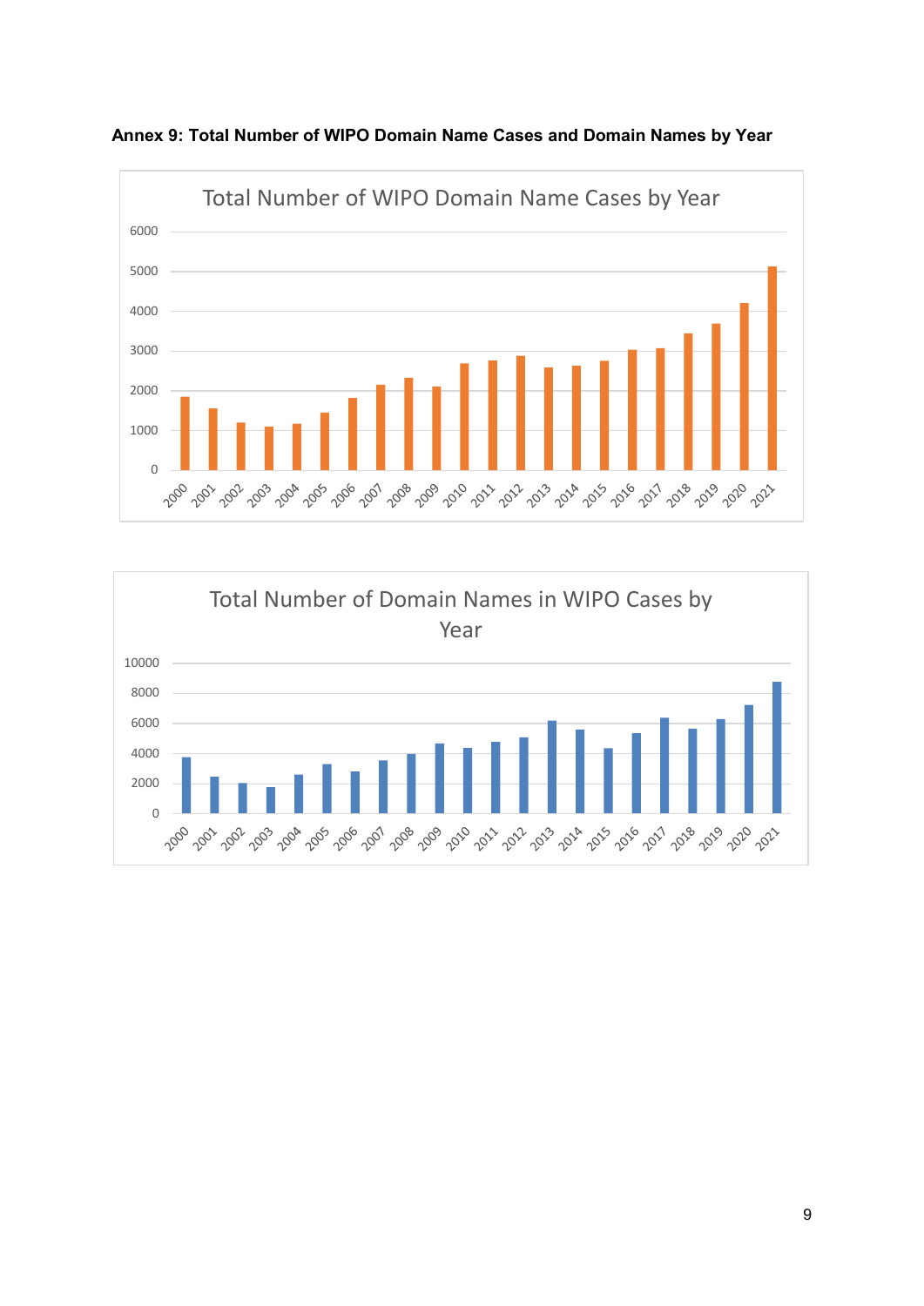

**Annex 9: Total Number of WIPO Domain Name Cases and Domain Names by Year**

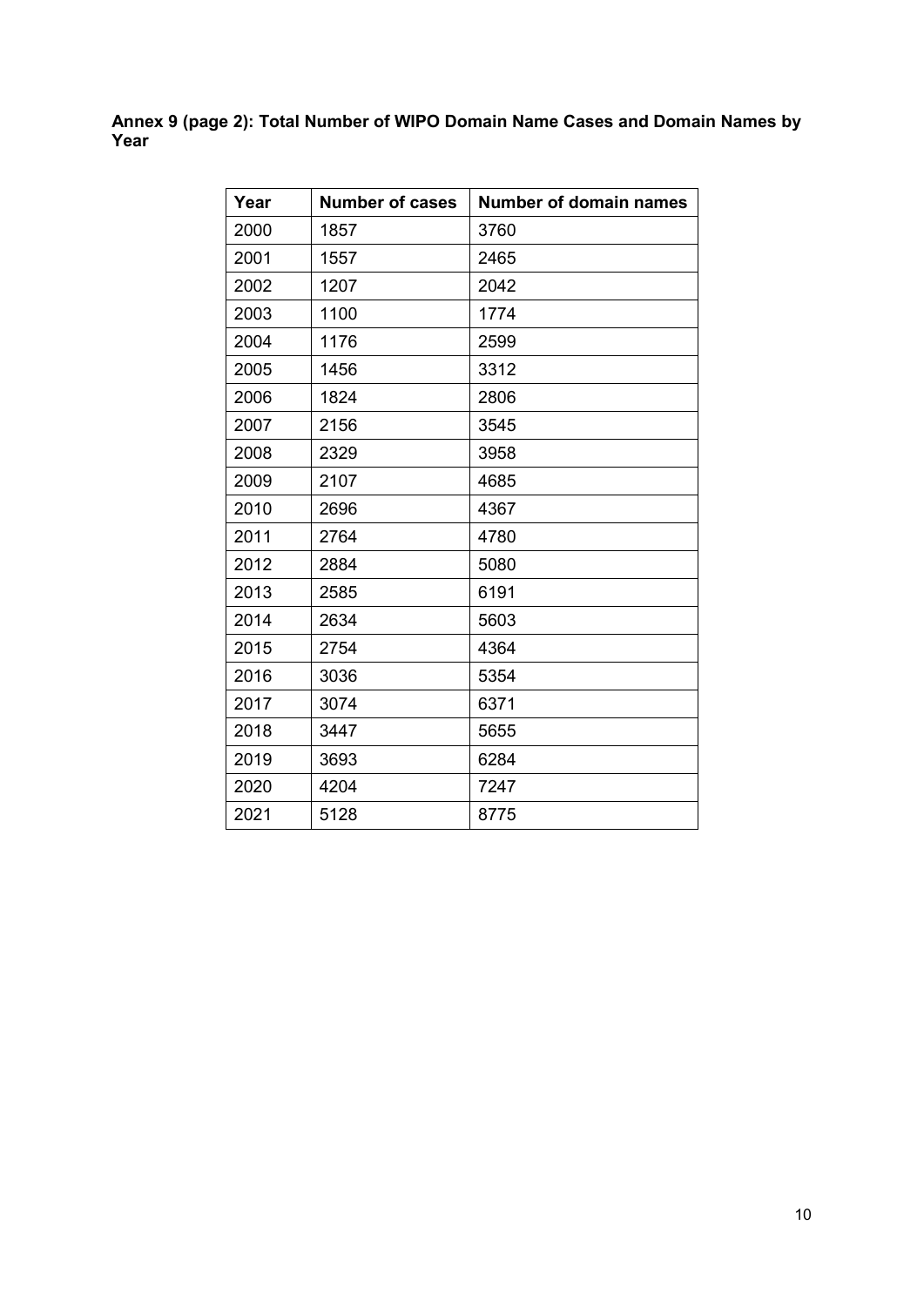**Annex 9 (page 2): Total Number of WIPO Domain Name Cases and Domain Names by Year**

| Year | <b>Number of cases</b> | <b>Number of domain names</b> |
|------|------------------------|-------------------------------|
| 2000 | 1857                   | 3760                          |
| 2001 | 1557                   | 2465                          |
| 2002 | 1207                   | 2042                          |
| 2003 | 1100                   | 1774                          |
| 2004 | 1176                   | 2599                          |
| 2005 | 1456                   | 3312                          |
| 2006 | 1824                   | 2806                          |
| 2007 | 2156                   | 3545                          |
| 2008 | 2329                   | 3958                          |
| 2009 | 2107                   | 4685                          |
| 2010 | 2696                   | 4367                          |
| 2011 | 2764                   | 4780                          |
| 2012 | 2884                   | 5080                          |
| 2013 | 2585                   | 6191                          |
| 2014 | 2634                   | 5603                          |
| 2015 | 2754                   | 4364                          |
| 2016 | 3036                   | 5354                          |
| 2017 | 3074                   | 6371                          |
| 2018 | 3447                   | 5655                          |
| 2019 | 3693                   | 6284                          |
| 2020 | 4204                   | 7247                          |
| 2021 | 5128                   | 8775                          |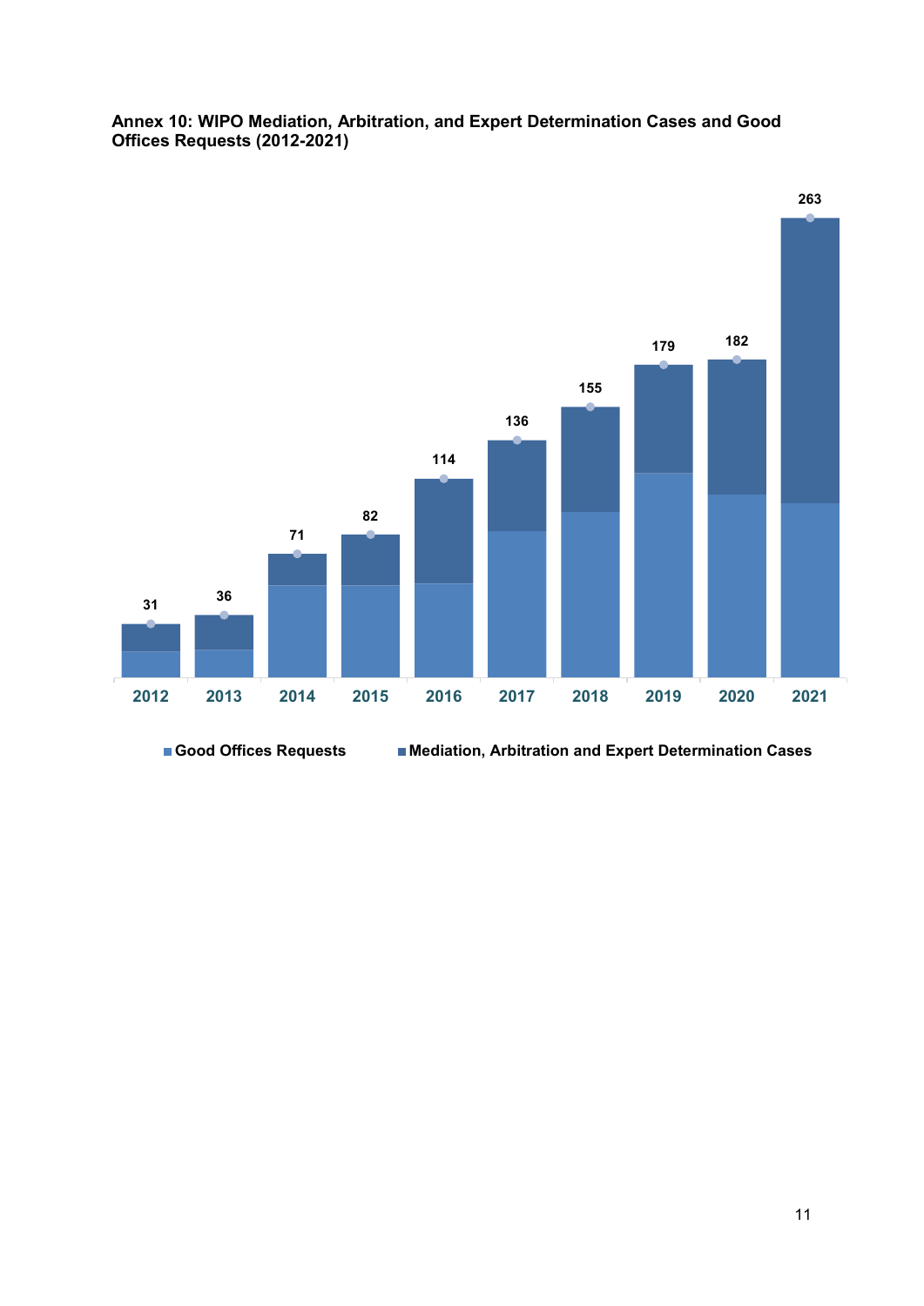

### **Annex 10: WIPO Mediation, Arbitration, and Expert Determination Cases and Good Offices Requests (2012-2021)**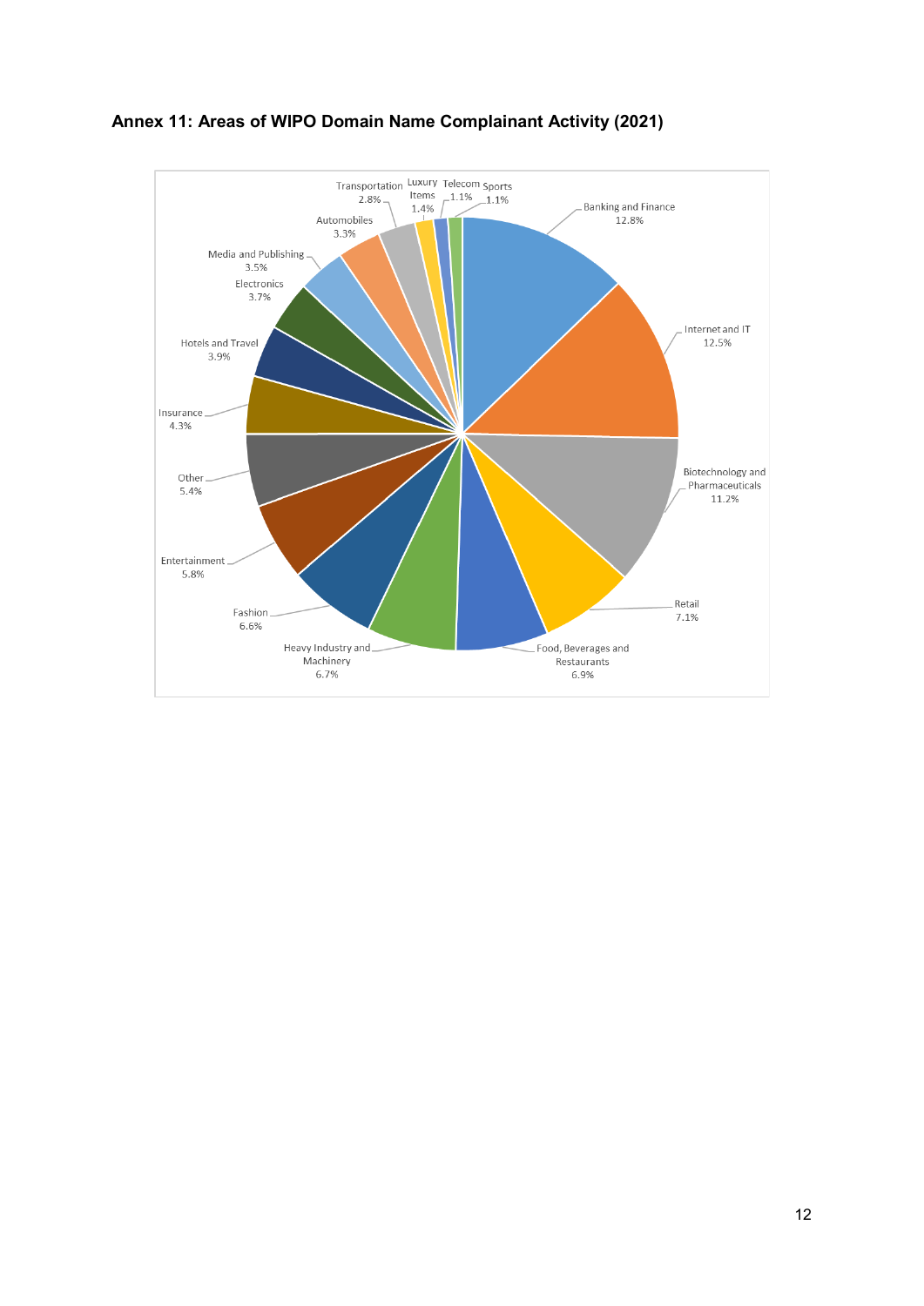

**Annex 11: Areas of WIPO Domain Name Complainant Activity (2021)**